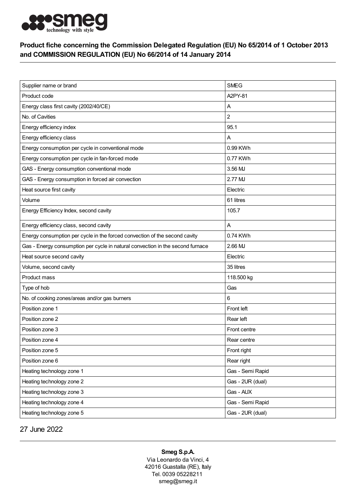

## Product fiche concerning the Commission Delegated Regulation (EU) No 65/2014 of 1 October 2013 and COMMISSION REGULATION (EU) No 66/2014 of 14 January 2014

| Supplier name or brand                                                         | <b>SMEG</b>      |
|--------------------------------------------------------------------------------|------------------|
| Product code                                                                   | A2PY-81          |
| Energy class first cavity (2002/40/CE)                                         | A                |
| No. of Cavities                                                                | $\overline{2}$   |
| Energy efficiency index                                                        | 95.1             |
| Energy efficiency class                                                        | Α                |
| Energy consumption per cycle in conventional mode                              | 0.99 KWh         |
| Energy consumption per cycle in fan-forced mode                                | 0.77 KWh         |
| GAS - Energy consumption conventional mode                                     | 3.56 MJ          |
| GAS - Energy consumption in forced air convection                              | 2.77 MJ          |
| Heat source first cavity                                                       | Electric         |
| Volume                                                                         | 61 litres        |
| Energy Efficiency Index, second cavity                                         | 105.7            |
| Energy efficiency class, second cavity                                         | A                |
| Energy consumption per cycle in the forced convection of the second cavity     | 0.74 KWh         |
| Gas - Energy consumption per cycle in natural convection in the second furnace | 2.66 MJ          |
| Heat source second cavity                                                      | Electric         |
| Volume, second cavity                                                          | 35 litres        |
| Product mass                                                                   | 118.500 kg       |
| Type of hob                                                                    | Gas              |
| No. of cooking zones/areas and/or gas burners                                  | 6                |
| Position zone 1                                                                | Front left       |
| Position zone 2                                                                | Rear left        |
| Position zone 3                                                                | Front centre     |
| Position zone 4                                                                | Rear centre      |
| Position zone 5                                                                | Front right      |
| Position zone 6                                                                | Rear right       |
| Heating technology zone 1                                                      | Gas - Semi Rapid |
| Heating technology zone 2                                                      | Gas - 2UR (dual) |
| Heating technology zone 3                                                      | Gas - AUX        |
| Heating technology zone 4                                                      | Gas - Semi Rapid |
| Heating technology zone 5                                                      | Gas - 2UR (dual) |

27 June 2022

Smeg S.p.A.

Via Leonardo da Vinci, 4 42016 Guastalla (RE), Italy Tel. 0039 05228211 smeg@smeg.it